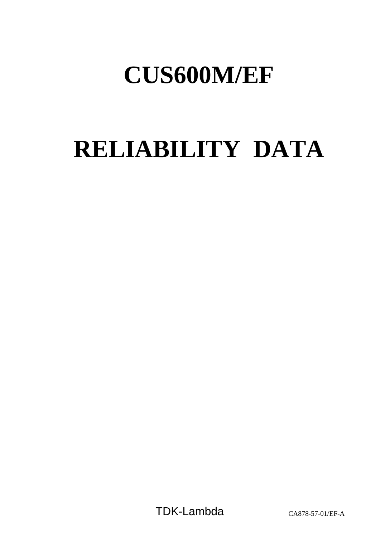# **CUS600M/EF**

# **RELIABILITY DATA**

TDK-Lambda CA878-57-01/EF-A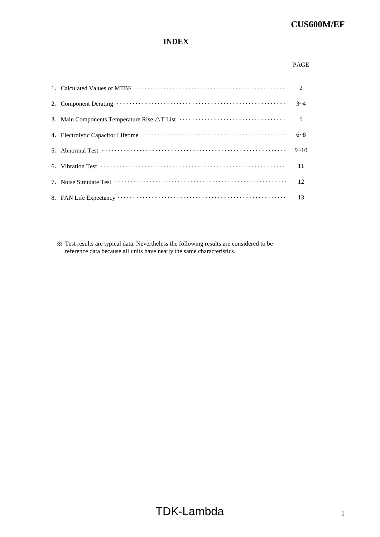# **INDEX**

#### PAGE

|                                                                                                                                                                            | $3 - 4$  |
|----------------------------------------------------------------------------------------------------------------------------------------------------------------------------|----------|
|                                                                                                                                                                            |          |
|                                                                                                                                                                            | $6 - 8$  |
| 5. Abnormal Test $\cdots$ $\cdots$ $\cdots$ $\cdots$ $\cdots$ $\cdots$ $\cdots$ $\cdots$ $\cdots$ $\cdots$ $\cdots$ $\cdots$                                               | $9 - 10$ |
| 6. Vibration Test $\cdots$ $\cdots$ $\cdots$ $\cdots$ $\cdots$ $\cdots$ $\cdots$ $\cdots$ $\cdots$ $\cdots$ $\cdots$ $\cdots$ $\cdots$ $\cdots$ $\cdots$ $\cdots$ $\cdots$ |          |
| 7. Noise Simulate Test $\cdots$ $\cdots$ $\cdots$ $\cdots$ $\cdots$ $\cdots$ $\cdots$ $\cdots$ $\cdots$ $\cdots$ $\cdots$ $\cdots$ $\cdots$ 12                             |          |
|                                                                                                                                                                            |          |

※ Test results are typical data. Nevertheless the following results are considered to be reference data because all units have nearly the same characteristics.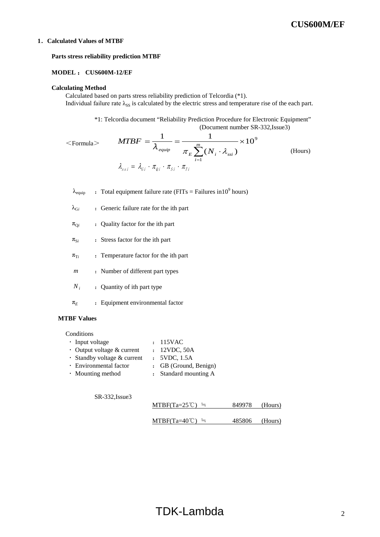#### **1**.**Calculated Values of MTBF**

#### **Parts stress reliability prediction MTBF**

#### **MODEL** : **CUS600M-12/EF**

#### **Calculating Method**

Calculated based on parts stress reliability prediction of Telcordia (\*1). Individual failure rate  $\lambda_{SS}$  is calculated by the electric stress and temperature rise of the each part.

> \*1: Telcordia document "Reliability Prediction Procedure for Electronic Equipment" (Document number SR-332,Issue3)

 $\leq$ Formula $>$  (Hours) 9 1 10  $(N_i \cdot \lambda_{\text{ssi}})$  $\frac{1}{m} = \frac{1}{m} \times \frac{1}{m}$ ⋅  $=\frac{1}{2}$  =  $\sum_{i=1}^m$ *i*  $_{\mathit{equip}}$   $\qquad \qquad \mathcal{T}_{E} \sum (N_{_{i}} \cdot \mathcal{A}_{_{SSi}})$  $MTBF = \frac{1}{\lambda_{\text{equip}}} = \frac{1}{\pi \sqrt{N} \sqrt{N} \sqrt{N}}$  $\lambda_{ssi}$  =  $\lambda_{\scriptscriptstyle G i}$   $\cdot$   $\pi_{\scriptscriptstyle Q i}$   $\cdot$   $\pi_{\scriptscriptstyle S i}$   $\cdot$   $\pi_{\scriptscriptstyle T i}$ 

- $\lambda_{\text{equip}}$  : Total equipment failure rate (FITs = Failures in 10<sup>9</sup> hours)
- $\lambda_{\text{G}i}$  : Generic failure rate for the ith part
- $\pi_{\text{O}i}$  : Quality factor for the ith part
- $\pi_{Si}$  : Stress factor for the ith part
- $\pi_{Ti}$  : Temperature factor for the ith part
- *m* : Number of different part types
- $N_i$  : Quantity of ith part type
- $\pi_E$  : Equipment environmental factor

#### **MTBF Values**

# **Conditions**

• Input voltage : 115VAC • Output voltage & current : 12VDC, 50A • Standby voltage & current : 5VDC, 1.5A • Environmental factor : GB (Ground, Benign) • Mounting method : Standard mounting A

SR-332,Issue3

| $MTBF(Ta=25^{\circ}C) =$ | 849978 (Hours) |  |
|--------------------------|----------------|--|
|                          |                |  |

|  | $MTBF(Ta=40^{\circ}C) =$ |  | 485806 | (Hours) |
|--|--------------------------|--|--------|---------|
|--|--------------------------|--|--------|---------|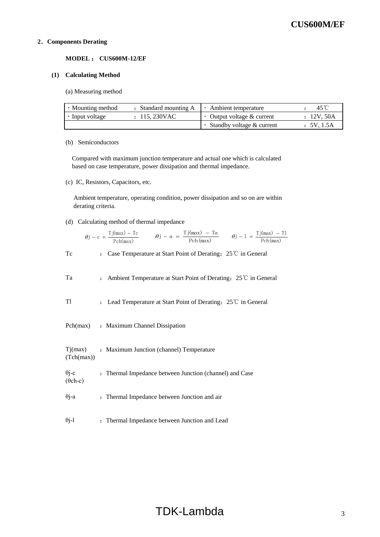#### **2**.**Components Derating**

**MODEL** : **CUS600M-12/EF**

#### **(1) Calculating Method**

(a) Measuring method

| • Mounting method | : Standard mounting A | $\cdot$ Ambient temperature       | 45°C       |
|-------------------|-----------------------|-----------------------------------|------------|
| Input voltage     | : 115,230VAC          | $\cdot$ Output voltage & current  | : 12V, 50A |
|                   |                       | $\cdot$ Standby voltage & current | : 5V.1.5A  |

#### (b) Semiconductors

 Compared with maximum junction temperature and actual one which is calculated based on case temperature, power dissipation and thermal impedance.

(c) IC, Resistors, Capacitors, etc.

 Ambient temperature, operating condition, power dissipation and so on are within derating criteria.

(d) Calculating method of thermal impedance

$$
\theta j - c = \frac{Tj(max) - Tc}{Pch(max)} \qquad \theta j - a = \frac{Tj(max) - Ta}{Pch(max)} \qquad \theta j - 1 = \frac{Tj(max) - Tl}{Pch(max)}
$$

Tc : Case Temperature at Start Point of Derating; 25℃ in General

| Ta                              | : Ambient Temperature at Start Point of Derating; $25^{\circ}$ in General                    |
|---------------------------------|----------------------------------------------------------------------------------------------|
| T1                              | Lead Temperature at Start Point of Derating; $25^{\circ}$ in General<br>$\ddot{\phantom{a}}$ |
| Pch(max)                        | : Maximum Channel Dissipation                                                                |
| Tj(max)<br>(Tch(max))           | : Maximum Junction (channel) Temperature                                                     |
| $\theta$ j-c<br>$(\theta$ ch-c) | : Thermal Impedance between Junction (channel) and Case                                      |
| $\theta$ j-a                    | : Thermal Impedance between Junction and air                                                 |
| $\theta$ j-l                    | : Thermal Impedance between Junction and Lead                                                |

# TDK-Lambda 3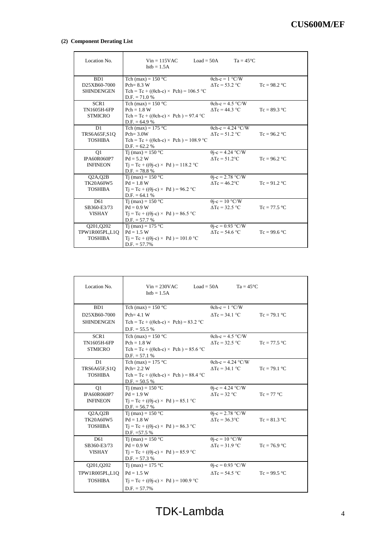#### **(2) Component Derating List**

| Location No.                                          | $Vin = 115VAC$<br>$\text{Istb} = 1.5\text{A}$                                                                     | $Load = 50A$<br>$Ta = 45^{\circ}C$                            |                |
|-------------------------------------------------------|-------------------------------------------------------------------------------------------------------------------|---------------------------------------------------------------|----------------|
| B <sub>D</sub> 1<br>D25XB60-7000<br><b>SHINDENGEN</b> | Tch (max) = $150 °C$<br>$Pch = 8.3 W$<br>Tch = Tc + (( $\theta$ ch-c) × Pch) = 106.5 °C<br>$D.F. = 71.0 %$        | $\theta$ ch-c = 1 °C/W<br>$\Delta Tc = 53.2$ °C               | $Tc = 98.2$ °C |
| SCR1<br><b>TN1605H-6FP</b><br><b>STMICRO</b>          | Tch (max) = $150$ °C<br>$Pch = 1.8 W$<br>Tch = Tc + (( $\theta$ ch-c) × Pch) = 97.4 °C<br>$D.F. = 64.9 %$         | $\theta$ ch-c = 4.5 °C/W<br>$\Delta Tc = 44.3$ °C             | $Tc = 89.3$ °C |
| D1<br>TRS6A65F,S1Q<br><b>TOSHIBA</b>                  | Tch (max) = $175$ °C<br>$Pch = 3.0W$<br>Tch = Tc + (( $\theta$ ch-c) × Pch) = 108.9 °C<br>$D.F. = 62.2 %$         | $\theta$ ch-c = 4.24 °C/W<br>$\Delta Tc = 51.2$ °C            | $Tc = 96.2 °C$ |
| Q1<br>IPA60R060P7<br><b>INFINEON</b>                  | Ti (max) = $150 °C$<br>$Pd = 5.2 W$<br>$Tj = Tc + ((\theta j - c) \times Pd) = 118.2$ °C<br>$D.F. = 78.8 %$       | $\overline{\theta}$ j-c = 4.24 °C/W<br>$\Delta T_c = 51.2$ °C | $Tc = 96.2 °C$ |
| $Q2A$ , $Q2B$<br>TK20A60W5<br><b>TOSHIBA</b>          | Ti (max) = $150 °C$<br>$Pd = 1.8 W$<br>$Tj = Tc + ((\theta j - c) \times Pd) = 96.2$ °C<br>$D.F. = 64.1%$         | $\theta$ j-c = 2.78 °C/W<br>$\Delta T_c = 46.2$ °C            | $Tc = 91.2 °C$ |
| D61<br>SB360-E3/73<br><b>VISHAY</b>                   | Ti (max) = $150 °C$<br>$Pd = 0.9 W$<br>$T_1 = Tc + ((\theta_1 - c) \times Pd) = 86.5$ °C<br>$D.F. = 57.7 %$       | $\theta$ j-c = 10 °C/W<br>$\Delta Tc = 32.5$ °C               | $Tc = 77.5 °C$ |
| Q201, Q202<br>TPW1R005PL,L1Q<br><b>TOSHIBA</b>        | Tj (max) = $175^{\circ}$ C<br>$Pd = 1.5 W$<br>$Tj = Tc + ((\theta j - c) \times Pd) = 101.0 °C$<br>$D.F. = 57.7%$ | $\theta$ j-c = 0.93 °C/W<br>$\Delta Tc = 54.6$ °C             | $Tc = 99.6 °C$ |

| Location No.                                                                           | $Vin = 230VAC$<br>$Load = 50A$<br>$\text{Istb} = 1.5\text{A}$ | $Ta = 45^{\circ}C$             |                |
|----------------------------------------------------------------------------------------|---------------------------------------------------------------|--------------------------------|----------------|
| B <sub>D</sub> 1                                                                       | Tch (max) = $150$ °C                                          | $\theta$ ch-c = 1 °C/W         |                |
| D25XB60-7000                                                                           | $Pch = 4.1 W$                                                 | $\Delta T_c = 34.1 \text{ °C}$ | $Tc = 79.1 °C$ |
| <b>SHINDENGEN</b>                                                                      | Tch = Tc + (( $\theta$ ch-c) × Pch) = 83.2 °C                 |                                |                |
|                                                                                        | $D.F. = 55.5 %$                                               |                                |                |
| SCR1                                                                                   | Tch (max) = $150$ °C                                          | $\theta$ ch-c = 4.5 °C/W       |                |
| TN1605H-6FP                                                                            | $Pch = 1.8 W$                                                 | $\Delta Tc = 32.5$ °C          | $Tc = 77.5 °C$ |
| <b>STMICRO</b>                                                                         | Tch = Tc + (( $\theta$ ch-c) × Pch) = 85.6 °C                 |                                |                |
|                                                                                        | $D.F. = 57.1 %$                                               |                                |                |
| D <sub>1</sub>                                                                         | Tch (max) = $175$ °C                                          | $\theta$ ch-c = 4.24 °C/W      |                |
| TRS6A65F,S1Q                                                                           | $Pch = 2.2 W$                                                 | $\Delta Tc = 34.1$ °C          | $Tc = 79.1 °C$ |
| <b>TOSHIBA</b>                                                                         | Tch = Tc + (( $\theta$ ch-c) × Pch) = 88.4 °C                 |                                |                |
|                                                                                        | $D.F. = 50.5 %$                                               |                                |                |
| O <sub>1</sub>                                                                         | Ti (max) = $150 °C$                                           | $\theta$ j-c = 4.24 °C/W       |                |
| IPA60R060P7                                                                            | $Pd = 1.9 W$                                                  | $\Delta T_c = 32 \text{ °C}$   | $Tc = 77 °C$   |
| $Tj = Tc + ((\theta j - c) \times Pd) = 85.1$ °C<br><b>INFINEON</b><br>$D.F. = 56.7 %$ |                                                               |                                |                |
| $Q2A$ , $Q2B$                                                                          | Ti (max) = $150 °C$                                           | $\theta$ j-c = 2.78 °C/W       |                |
| TK20A60W5                                                                              | $Pd = 1.8 W$                                                  | $\Delta Tc = 36.3$ °C          | $Tc = 81.3$ °C |
| <b>TOSHIBA</b>                                                                         | $Tj = Tc + ((\theta j - c) \times Pd) = 86.3$ °C              |                                |                |
|                                                                                        | D.F. $=57.5%$                                                 |                                |                |
| D <sub>61</sub>                                                                        | Ti (max) = $150 °C$                                           | $\theta$ j-c = 10 °C/W         |                |
| SB360-E3/73                                                                            | $Pd = 0.9 W$                                                  | $\Delta Tc = 31.9$ °C          | $Tc = 76.9 °C$ |
| <b>VISHAY</b>                                                                          | $T_1 = Tc + ((\theta i - c) \times Pd) = 85.9$ °C             |                                |                |
|                                                                                        | $D.F. = 57.3 %$                                               |                                |                |
| Q201, Q202                                                                             | Ti (max) = $175$ °C                                           | $\theta$ j-c = 0.93 °C/W       |                |
| TPW1R005PL,L1Q                                                                         | $Pd = 1.5 W$                                                  | $\Delta T_c = 54.5 \text{ °C}$ | $Tc = 99.5 °C$ |
| <b>TOSHIBA</b>                                                                         | $T_1 = Tc + ((\theta i - c) \times Pd) = 100.9$ °C            |                                |                |
|                                                                                        | $D.F. = 57.7\%$                                               |                                |                |
|                                                                                        |                                                               |                                |                |

TDK-Lambda 4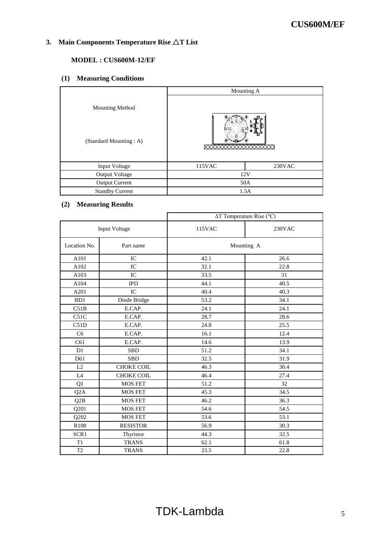# **3. Main Components Temperature Rise** △**T List**

# **MODEL : CUS600M-12/EF**

# **(1) Measuring Conditions**

|                        | Mounting A                           |           |  |
|------------------------|--------------------------------------|-----------|--|
| <b>Mounting Method</b> |                                      |           |  |
| (Standard Mounting: A) | FR Þ<br><b>XXXXXXXXX</b><br>XXXXXXXX |           |  |
| Input Voltage          | 115VAC                               | $230$ VAC |  |
| <b>Output Voltage</b>  | 12V                                  |           |  |
| <b>Output Current</b>  | 50A                                  |           |  |
| <b>Standby Current</b> | 1.5A                                 |           |  |

# **(2) Measuring Results**

|                      |                   |        | $\Delta T$ Temperature Rise (°C) |
|----------------------|-------------------|--------|----------------------------------|
| <b>Input Voltage</b> |                   | 115VAC | 230VAC                           |
| Location No.         | Part name         |        | Mounting A                       |
| A101                 | IC                | 42.1   | 26.6                             |
| A102                 | IC                | 32.1   | 22.8                             |
| A103                 | IC                | 33.5   | 31                               |
| A104                 | <b>IPD</b>        | 44.1   | 40.5                             |
| A201                 | IC                | 40.4   | 40.3                             |
| B <sub>D</sub> 1     | Diode Bridge      | 53.2   | 34.1                             |
| C51B                 | E.CAP.            | 24.1   | 24.1                             |
| C51C                 | E.CAP.            | 28.7   | 28.6                             |
| C51D                 | E.CAP.            | 24.8   | 25.5                             |
| C <sub>6</sub>       | E.CAP.            | 16.1   | 12.4                             |
| C61                  | E.CAP.            | 14.6   | 13.9                             |
| D1                   | <b>SBD</b>        | 51.2   | 34.1                             |
| D61                  | <b>SBD</b>        | 32.5   | 31.9                             |
| L2                   | <b>CHOKE COIL</b> | 46.3   | 30.4                             |
| $\mathbf{L}4$        | <b>CHOKE COIL</b> | 46.4   | 27.4                             |
| Q1                   | <b>MOS FET</b>    | 51.2   | 32                               |
| Q <sub>2</sub> A     | <b>MOS FET</b>    | 45.3   | 34.5                             |
| Q2B                  | <b>MOS FET</b>    | 46.2   | 36.3                             |
| Q201                 | <b>MOS FET</b>    | 54.6   | 54.5                             |
| Q202                 | <b>MOS FET</b>    | 53.6   | 53.1                             |
| R108                 | <b>RESISTOR</b>   | 56.9   | 30.3                             |
| SCR1                 | Thyristor         | 44.3   | 32.5                             |
| T1                   | <b>TRANS</b>      | 62.1   | 61.8                             |
| T <sub>2</sub>       | <b>TRANS</b>      | 23.5   | 22.8                             |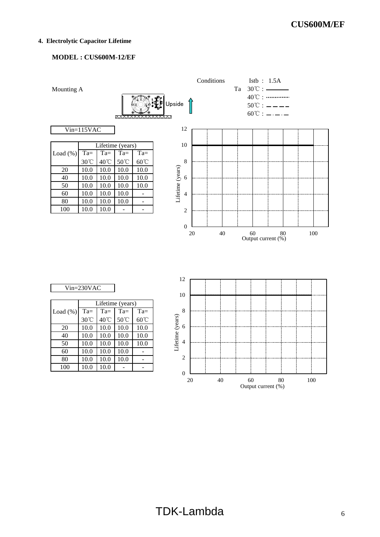#### **4. Electrolytic Capacitor Lifetime**

# **MODEL : CUS600M-12/EF**



| $n=230$ VAC |  |
|-------------|--|
|             |  |

|             | Lifetime (years) |        |        |        |
|-------------|------------------|--------|--------|--------|
| Load $(\%)$ | $Ta =$           | $Ta =$ | $Ta =$ | $Ta =$ |
|             | 30°C             | 40°C   | 50°C   | 60°C   |
| 20          | 10.0             | 10.0   | 10.0   | 10.0   |
| 40          | 10.0             | 10.0   | 10.0   | 10.0   |
| 50          | 10.0             | 10.0   | 10.0   | 10.0   |
| 60          | 10.0             | 10.0   | 10.0   |        |
| 80          | 10.0             | 10.0   | 10.0   |        |
| 100         | 10.0             | 10.0   |        |        |

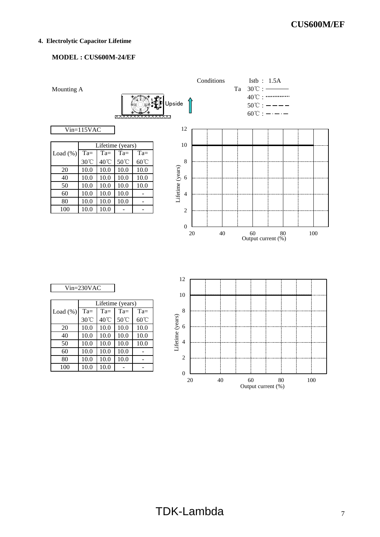#### **4. Electrolytic Capacitor Lifetime**

# **MODEL : CUS600M-24/EF**



|             |        |        | Lifetime (years) |        |
|-------------|--------|--------|------------------|--------|
| Load $(\%)$ | $Ta =$ | $Ta =$ | $Ta =$           | $Ta =$ |
|             | 30°C   | 40°C   | 50°C             | 60°C   |
| 20          | 10.0   | 10.0   | 10.0             | 10.0   |
| 40          | 10.0   | 10.0   | 10.0             | 10.0   |
| 50          | 10.0   | 10.0   | 10.0             | 10.0   |
| 60          | 10.0   | 10.0   | 10.0             |        |
| 80          | 10.0   | 10.0   | 10.0             |        |
| 100         | 10.0   | 10.0   |                  |        |

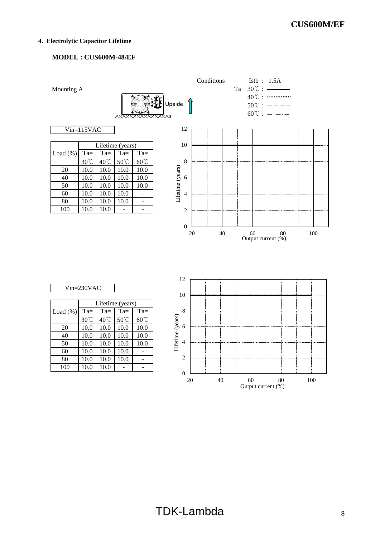#### **4. Electrolytic Capacitor Lifetime**

# **MODEL : CUS600M-48/EF**



| $n=230$ VAC |  |
|-------------|--|
|             |  |

|              | Lifetime (years) |        |        |        |  |  |  |  |  |  |  |  |  |
|--------------|------------------|--------|--------|--------|--|--|--|--|--|--|--|--|--|
| Load $(\% )$ | $Ta =$           | $Ta =$ | $Ta =$ | $Ta =$ |  |  |  |  |  |  |  |  |  |
|              | 30°C             | 40°C   | 50°C   | 60°C   |  |  |  |  |  |  |  |  |  |
| 20           | 10.0             | 10.0   | 10.0   | 10.0   |  |  |  |  |  |  |  |  |  |
| 40           | 10.0             | 10.0   | 10.0   | 10.0   |  |  |  |  |  |  |  |  |  |
| 50           | 10.0             | 10.0   | 10.0   | 10.0   |  |  |  |  |  |  |  |  |  |
| 60           | 10.0             | 10.0   | 10.0   |        |  |  |  |  |  |  |  |  |  |
| 80           | 10.0             | 10.0   | 10.0   |        |  |  |  |  |  |  |  |  |  |
| 100          | 10.0             | 10.0   |        |        |  |  |  |  |  |  |  |  |  |

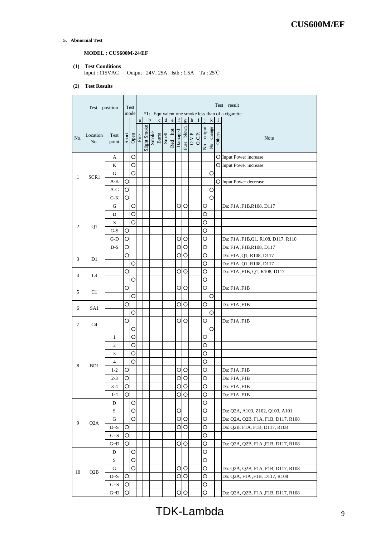**5**.**Abnormal Test**

.

# **MODEL : CUS600M-24/EF**

**(1) Test Conditions** Input : 115VAC Output : 24V, 25A Istb : 1.5A Ta : 25℃

#### **(2) Test Results**

|     | Test position    |                |   | Test<br>mode  |          | Test result<br>*1: Equivalent one smoke less than of a cigarette |             |              |                |            |         |               |   |   |                         |        |        |                                    |
|-----|------------------|----------------|---|---------------|----------|------------------------------------------------------------------|-------------|--------------|----------------|------------|---------|---------------|---|---|-------------------------|--------|--------|------------------------------------|
|     |                  |                |   |               | $\rm{a}$ |                                                                  | $\mathbf b$ | $\mathbf{c}$ | ${\rm d}$      | $\rm e$    | f       | g             | h | I |                         | k      | 1      |                                    |
| No. | Location<br>No.  | Test<br>point  |   | Short<br>Open | Fire     | Slight Smoke                                                     | Smoke       |              | Burst<br>Smell | hot<br>Red | Damaged | blown<br>Fuse |   |   | output<br>$\frac{1}{2}$ | change | Others | Note                               |
|     |                  | А              |   | О             |          |                                                                  |             |              |                |            |         |               |   |   |                         |        |        | O Input Power increase             |
|     |                  | K              |   | Ο             |          |                                                                  |             |              |                |            |         |               |   |   |                         |        |        | O Input Power increase             |
|     |                  | G              |   | О             |          |                                                                  |             |              |                |            |         |               |   |   |                         | O      |        |                                    |
| 1   | SCR1             | A-K            | O |               |          |                                                                  |             |              |                |            |         |               |   |   |                         |        |        | O Input Power decrease             |
|     |                  | A-G            | O |               |          |                                                                  |             |              |                |            |         |               |   |   |                         | С      |        |                                    |
|     |                  | $G-K$          | O |               |          |                                                                  |             |              |                |            |         |               |   |   |                         | О      |        |                                    |
|     |                  | G              |   | Ο             |          |                                                                  |             |              |                |            |         | OΟ            |   |   | O                       |        |        | Da: F1A, F1B, R108, D117           |
|     |                  | D              |   | О             |          |                                                                  |             |              |                |            |         |               |   |   | O                       |        |        |                                    |
|     |                  | S              |   | О             |          |                                                                  |             |              |                |            |         |               |   |   | O                       |        |        |                                    |
| 2   | Q1               | G-S            | Ο |               |          |                                                                  |             |              |                |            |         |               |   |   | O                       |        |        |                                    |
|     |                  | $G-D$          | O |               |          |                                                                  |             |              |                |            | О       | O             |   |   | О                       |        |        | Da: F1A, F1B, Q1, R108, D117, R110 |
|     |                  | D-S            | Ο |               |          |                                                                  |             |              |                |            | О       | O             |   |   | О                       |        |        | Da: F1A, F1B, R108, D117           |
| 3   | D1               |                | Ο |               |          |                                                                  |             |              |                |            | O       | O             |   |   | O                       |        |        | Da: F1A, Q1, R108, D117            |
|     |                  |                |   | O             |          |                                                                  |             |              |                |            |         |               |   |   | O                       |        |        | Da: F1A , Q1, R108, D117           |
| 4   |                  |                | O |               |          |                                                                  |             |              |                |            | O       | ΙO            |   |   | O                       |        |        | Da: F1A, F1B, Q1, R108, D117       |
|     | L4               |                |   | О             |          |                                                                  |             |              |                |            |         |               |   |   | O                       |        |        |                                    |
| 5   | C1               |                | О |               |          |                                                                  |             |              |                |            |         | $\circ$       |   |   | O                       |        |        | Da: F1A ,F1B                       |
|     |                  |                |   | Ο             |          |                                                                  |             |              |                |            |         |               |   |   |                         | O      |        |                                    |
| 6   | SA1              |                | О |               |          |                                                                  |             |              |                |            | O       | O             |   |   | О                       |        |        | Da: F1A ,F1B                       |
|     |                  |                |   | О             |          |                                                                  |             |              |                |            |         |               |   |   |                         | O      |        |                                    |
| 7   | C <sub>4</sub>   |                | O |               |          |                                                                  |             |              |                |            | O       | ΙO            |   |   | O                       |        |        | Da: F1A, F1B                       |
|     |                  |                |   | О             |          |                                                                  |             |              |                |            |         |               |   |   |                         | O      |        |                                    |
|     |                  | 1              |   | О             |          |                                                                  |             |              |                |            |         |               |   |   | О                       |        |        |                                    |
|     |                  | $\overline{2}$ |   | Ο             |          |                                                                  |             |              |                |            |         |               |   |   | O                       |        |        |                                    |
|     |                  | 3              |   | О             |          |                                                                  |             |              |                |            |         |               |   |   | О                       |        |        |                                    |
| 8   | BD1              | 4              |   | O             |          |                                                                  |             |              |                |            |         |               |   |   | О                       |        |        |                                    |
|     |                  | $1 - 2$        | О |               |          |                                                                  |             |              |                |            | O       | O             |   |   | O                       |        |        | Da: F1A ,F1B                       |
|     |                  | $2 - 3$        | O |               |          |                                                                  |             |              |                |            | O       | O             |   |   | O                       |        |        | Da: F1A, F1B                       |
|     |                  | $3-4$          | O |               |          |                                                                  |             |              |                |            |         | $\circ$       |   |   | O                       |        |        | Da: F1A, F1B                       |
|     |                  | $1-4$          | O |               |          |                                                                  |             |              |                |            |         | $\circ$       |   |   | О                       |        |        | Da: F1A ,F1B                       |
|     |                  | D              |   | O             |          |                                                                  |             |              |                |            |         |               |   |   | O                       |        |        |                                    |
|     |                  | S              |   | О             |          |                                                                  |             |              |                |            | O       |               |   |   | O                       |        |        | Da: Q2A, A103, Z102, Q103, A101    |
| 9   | Q <sub>2</sub> A | G              |   | О             |          |                                                                  |             |              |                |            | O       | ΙO            |   |   | O                       |        |        | Da: Q2A, Q2B, F1A, F1B, D117, R108 |
|     |                  | D~S            | Ο |               |          |                                                                  |             |              |                |            | О       | O             |   |   | O                       |        |        | Da: Q2B, F1A, F1B, D117, R108      |
|     |                  | $G-S$          | O |               |          |                                                                  |             |              |                |            |         |               |   |   | O                       |        |        |                                    |
|     |                  | $G\neg D$      | O |               |          |                                                                  |             |              |                |            |         | $\circ$       |   |   | O                       |        |        | Da: Q2A, Q2B, F1A, F1B, D117, R108 |
|     |                  | D              |   | O             |          |                                                                  |             |              |                |            |         |               |   |   | О                       |        |        |                                    |
|     |                  | S              |   | Ο             |          |                                                                  |             |              |                |            |         |               |   |   | O                       |        |        |                                    |
| 10  | Q <sub>2</sub> B | G              |   | O             |          |                                                                  |             |              |                |            |         | $\circ$       |   |   | O                       |        |        | Da: Q2A, Q2B, F1A, F1B, D117, R108 |
|     |                  | D~S            | O |               |          |                                                                  |             |              |                |            | O       | O             |   |   | O                       |        |        | Da: Q2A, F1A ,F1B, D117, R108      |
|     |                  | G~S            | O |               |          |                                                                  |             |              |                |            |         |               |   |   | O                       |        |        |                                    |
|     |                  | $G\neg D$      | O |               |          |                                                                  |             |              |                |            |         | $\circ$       |   |   | O                       |        |        | Da: Q2A, Q2B, F1A, F1B, D117, R108 |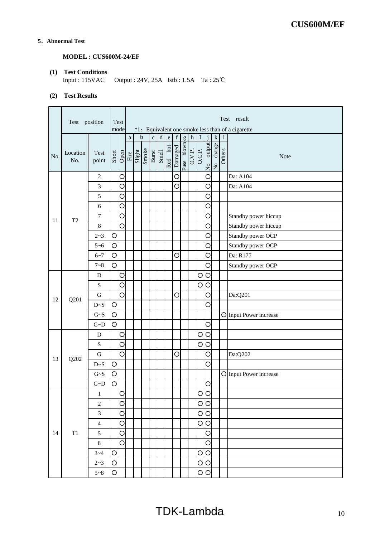# **5**.**Abnormal Test**

# **MODEL : CUS600M-24/EF**

# **(1) Test Conditions**

Output :  $24V$ ,  $25A$  Istb :  $1.5A$  Ta :  $25^{\circ}C$ 

# **(2) Test Results**

|     |                 | Test<br>Test position<br>mode |            |          |                                 |  | Test result<br>*1: Equivalent one smoke less than of a cigarette |                |         |         |             |            |                       |        |              |           |        |                        |
|-----|-----------------|-------------------------------|------------|----------|---------------------------------|--|------------------------------------------------------------------|----------------|---------|---------|-------------|------------|-----------------------|--------|--------------|-----------|--------|------------------------|
|     |                 |                               |            |          | $\rm{a}$                        |  | $\mathbf b$                                                      | $\mathbf c$    | $\rm d$ | $\rm e$ | $\mathbf f$ | g          | $\,$ h $\,$           | $\;$ I | $\mathbf{i}$ | ${\bf k}$ | 1      |                        |
| No. | Location<br>No. | Test<br>point                 | Short      |          | Open<br>Fire<br>Singht<br>Smoke |  |                                                                  | Burst<br>Smell |         | Red hot | Damaged     | Fuse blown | $\frac{0.101}{0.001}$ |        | No output    | No change | Others | Note                   |
|     |                 | 2                             |            | O        |                                 |  |                                                                  |                |         |         | $\circ$     |            |                       |        | O            |           |        | Da: A104               |
|     |                 | 3                             |            | $\circ$  |                                 |  |                                                                  |                |         |         | O           |            |                       |        | O            |           |        | Da: A104               |
|     |                 | 5                             |            | O        |                                 |  |                                                                  |                |         |         |             |            |                       |        | O            |           |        |                        |
|     |                 | 6                             |            | O        |                                 |  |                                                                  |                |         |         |             |            |                       |        | O            |           |        |                        |
| 11  | T <sub>2</sub>  | 7                             |            | O        |                                 |  |                                                                  |                |         |         |             |            |                       |        | O            |           |        | Standby power hiccup   |
|     |                 | $\,8\,$                       |            | O        |                                 |  |                                                                  |                |         |         |             |            |                       |        | O            |           |        | Standby power hiccup   |
|     |                 | $2 - 3$                       | O          |          |                                 |  |                                                                  |                |         |         |             |            |                       |        | O            |           |        | Standby power OCP      |
|     |                 | $5 - 6$                       | O          |          |                                 |  |                                                                  |                |         |         |             |            |                       |        | $\circ$      |           |        | Standby power OCP      |
|     |                 | $6 - 7$                       | O          |          |                                 |  |                                                                  |                |         |         | O           |            |                       |        | O            |           |        | Da: R177               |
|     |                 | $7 - 8$                       | O          |          |                                 |  |                                                                  |                |         |         |             |            |                       |        | O            |           |        | Standby power OCP      |
|     |                 | D                             |            | O        |                                 |  |                                                                  |                |         |         |             |            |                       | O      | $\circ$      |           |        |                        |
|     |                 | ${\bf S}$                     |            | O        |                                 |  |                                                                  |                |         |         |             |            |                       | O      | $\circ$      |           |        |                        |
| 12  | Q201            | ${\bf G}$                     |            | $\circ$  |                                 |  |                                                                  |                |         |         | $\circ$     |            |                       |        | O            |           |        | Da:Q201                |
|     |                 | D~S                           | O          |          |                                 |  |                                                                  |                |         |         |             |            |                       |        | O            |           |        |                        |
|     |                 | $G-S$                         | O          |          |                                 |  |                                                                  |                |         |         |             |            |                       |        |              |           |        | O Input Power increase |
|     |                 | $\mbox{G-}\mbox{D}$           | $\bigcirc$ |          |                                 |  |                                                                  |                |         |         |             |            |                       |        | O            |           |        |                        |
|     |                 | D                             |            | O        |                                 |  |                                                                  |                |         |         |             |            |                       | O      | $\circ$      |           |        |                        |
|     |                 | $\mathbf S$                   |            | O        |                                 |  |                                                                  |                |         |         |             |            |                       | O      | $\circ$      |           |        |                        |
| 13  | Q202            | G                             |            | O        |                                 |  |                                                                  |                |         |         | O           |            |                       |        | O            |           |        | Da:Q202                |
|     |                 | D~S                           | $\circ$    |          |                                 |  |                                                                  |                |         |         |             |            |                       |        | O            |           |        |                        |
|     |                 | $\mathrm{G}{\sim}\mathrm{S}$  | O          |          |                                 |  |                                                                  |                |         |         |             |            |                       |        |              |           |        | O Input Power increase |
|     |                 | $\mbox{G-}\mbox{D}$           | $\circ$    |          |                                 |  |                                                                  |                |         |         |             |            |                       |        | O            |           |        |                        |
|     |                 | $\mathbf{1}$                  |            | $\Omega$ |                                 |  |                                                                  |                |         |         |             |            |                       |        | റിറ          |           |        |                        |
|     |                 | $\mathbf{2}$                  |            | O        |                                 |  |                                                                  |                |         |         |             |            |                       | O      | $\circ$      |           |        |                        |
|     |                 | 3                             |            | O        |                                 |  |                                                                  |                |         |         |             |            |                       | O      | $\circ$      |           |        |                        |
|     |                 | $\overline{4}$                |            | O        |                                 |  |                                                                  |                |         |         |             |            |                       | O      | $\circ$      |           |        |                        |
| 14  | T1              | $\mathfrak{S}$                |            | O        |                                 |  |                                                                  |                |         |         |             |            |                       |        | $\bigcirc$   |           |        |                        |
|     |                 | $8\phantom{.}$                |            | O        |                                 |  |                                                                  |                |         |         |             |            |                       |        | $\circ$      |           |        |                        |
|     |                 | $3 - 4$                       | O          |          |                                 |  |                                                                  |                |         |         |             |            |                       | O      | $\circ$      |           |        |                        |
|     |                 | $2 - 3$                       | O          |          |                                 |  |                                                                  |                |         |         |             |            |                       | O      | $\circ$      |           |        |                        |
|     |                 | $5 - 8$                       | O          |          |                                 |  |                                                                  |                |         |         |             |            |                       | C      | $\circ$      |           |        |                        |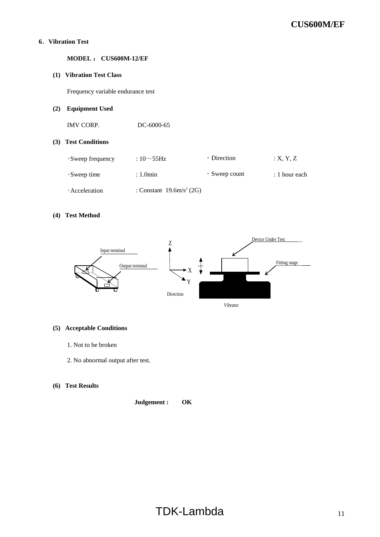## **6**.**Vibration Test**

**MODEL** : **CUS600M-12/EF**

#### **(1) Vibration Test Class**

Frequency variable endurance test

# **(2) Equipment Used**

IMV CORP. DC-6000-65

#### **(3) Test Conditions**

| $\cdot$ Sweep frequency | : 10 $\sim$ 55Hz                    | $\cdot$ Direction   | : X, Y, Z       |
|-------------------------|-------------------------------------|---------------------|-----------------|
| $\cdot$ Sweep time      | $: 1.0$ min                         | $\cdot$ Sweep count | $: 1$ hour each |
| Acceleration            | : Constant $19.6 \text{m/s}^2$ (2G) |                     |                 |

#### **(4) Test Method**



# **(5) Acceptable Conditions**

- 1. Not to be broken
- 2. No abnormal output after test.

# **(6) Test Results**

**Judgement : OK**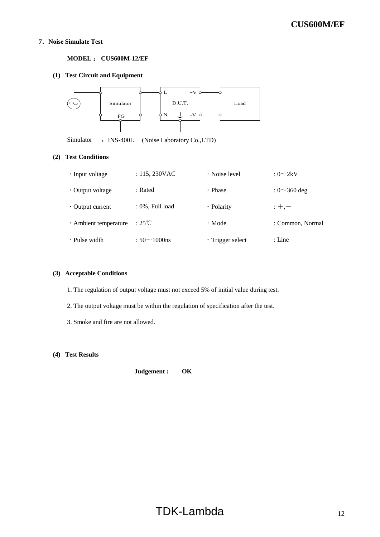#### **7**.**Noise Simulate Test**

#### **MODEL** : **CUS600M-12/EF**

# **(1) Test Circuit and Equipment**



Simulator : INS-400L (Noise Laboratory Co.,LTD)

#### **(2) Test Conditions**

| $\cdot$ Input voltage  | : $115, 230$ VAC        | $\cdot$ Noise level    | : $0\sim2kV$       |
|------------------------|-------------------------|------------------------|--------------------|
| $\cdot$ Output voltage | : Rated                 | $\cdot$ Phase          | : $0 \sim 360$ deg |
| $\cdot$ Output current | : 0%, Full load         | · Polarity             | $: +, -$           |
| · Ambient temperature  | $:25^{\circ}\mathrm{C}$ | $\cdot$ Mode           | : Common, Normal   |
| $\cdot$ Pulse width    | : $50 \sim 1000$ ns     | $\cdot$ Trigger select | : Line             |

# **(3) Acceptable Conditions**

- 1. The regulation of output voltage must not exceed 5% of initial value during test.
- 2. The output voltage must be within the regulation of specification after the test.
- 3. Smoke and fire are not allowed.

#### **(4) Test Results**

**Judgement : OK**